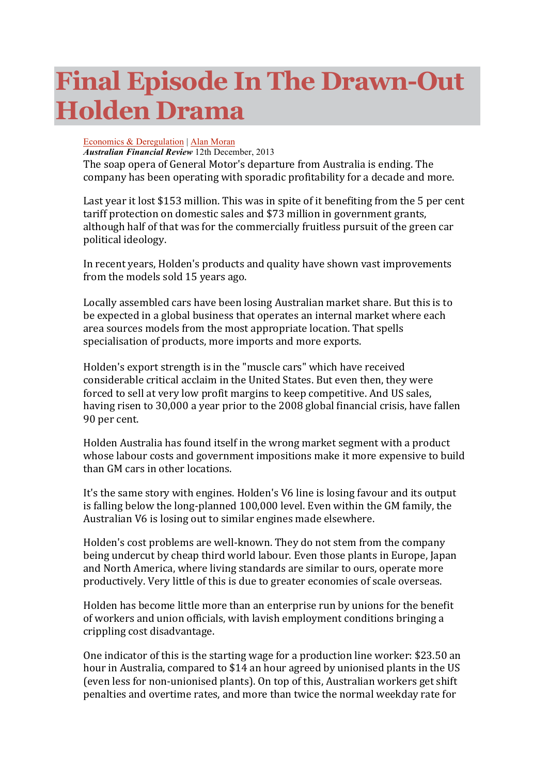## **Final Episode In The Drawn-Out Holden Drama**

## Economics & Deregulation | Alan Moran

*Australian Financial Review* 12th December, 2013 The soap opera of General Motor's departure from Australia is ending. The

company has been operating with sporadic profitability for a decade and more.

Last year it lost \$153 million. This was in spite of it benefiting from the 5 per cent tariff protection on domestic sales and \$73 million in government grants, although half of that was for the commercially fruitless pursuit of the green car political ideology.

In recent years, Holden's products and quality have shown vast improvements from the models sold 15 years ago.

Locally assembled cars have been losing Australian market share. But this is to be expected in a global business that operates an internal market where each area sources models from the most appropriate location. That spells specialisation of products, more imports and more exports.

Holden's export strength is in the "muscle cars" which have received considerable critical acclaim in the United States. But even then, they were forced to sell at very low profit margins to keep competitive. And US sales, having risen to 30,000 a year prior to the 2008 global financial crisis, have fallen 90 per cent.

Holden Australia has found itself in the wrong market segment with a product whose labour costs and government impositions make it more expensive to build than GM cars in other locations.

It's the same story with engines. Holden's V6 line is losing favour and its output is falling below the long-planned 100,000 level. Even within the GM family, the Australian V6 is losing out to similar engines made elsewhere.

Holden's cost problems are well-known. They do not stem from the company being undercut by cheap third world labour. Even those plants in Europe, Japan and North America, where living standards are similar to ours, operate more productively. Very little of this is due to greater economies of scale overseas.

Holden has become little more than an enterprise run by unions for the benefit of workers and union officials, with lavish employment conditions bringing a crippling cost disadvantage.

One indicator of this is the starting wage for a production line worker: \$23.50 an hour in Australia, compared to \$14 an hour agreed by unionised plants in the US (even less for non-unionised plants). On top of this, Australian workers get shift penalties and overtime rates, and more than twice the normal weekday rate for